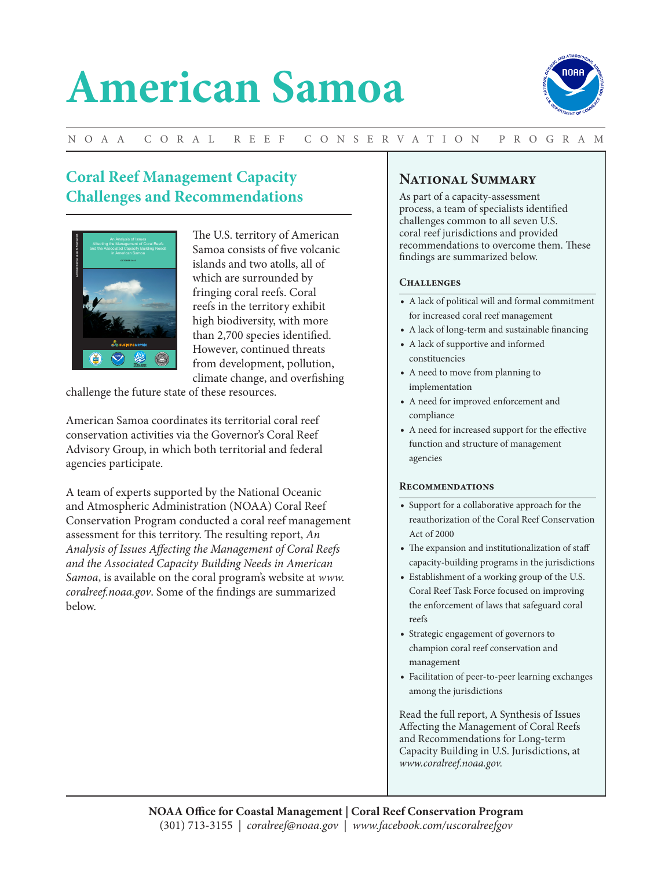# **American Samoa**



## N OA A C O R A L R E E F C O N SE RVAT IO N P R O G R A M

# **Coral Reef Management Capacity Challenges and Recommendations**



The U.S. territory of American Samoa consists of five volcanic islands and two atolls, all of which are surrounded by fringing coral reefs. Coral reefs in the territory exhibit high biodiversity, with more than 2,700 species identified. However, continued threats from development, pollution, climate change, and overfishing

challenge the future state of these resources.

American Samoa coordinates its territorial coral reef conservation activities via the Governor's Coral Reef Advisory Group, in which both territorial and federal agencies participate.

A team of experts supported by the National Oceanic and Atmospheric Administration (NOAA) Coral Reef Conservation Program conducted a coral reef management assessment for this territory. The resulting report, *An Analysis of Issues Affecting the Management of Coral Reefs and the Associated Capacity Building Needs in American Samoa*, is available on the coral program's website at *www. coralreef.noaa.gov*. Some of the findings are summarized below.

## **National Summary**

As part of a capacity-assessment process, a team of specialists identified challenges common to all seven U.S. coral reef jurisdictions and provided recommendations to overcome them. These findings are summarized below.

### CHALLENGES

- A lack of political will and formal commitment for increased coral reef management
- A lack of long-term and sustainable financing
- A lack of supportive and informed constituencies
- A need to move from planning to implementation
- A need for improved enforcement and compliance
- A need for increased support for the effective function and structure of management agencies

#### **Recommendations**

- Support for a collaborative approach for the reauthorization of the Coral Reef Conservation Act of 2000
- The expansion and institutionalization of staff capacity-building programs in the jurisdictions
- Establishment of a working group of the U.S. Coral Reef Task Force focused on improving the enforcement of laws that safeguard coral reefs
- Strategic engagement of governors to champion coral reef conservation and management
- Facilitation of peer-to-peer learning exchanges among the jurisdictions

Read the full report, A Synthesis of Issues Affecting the Management of Coral Reefs and Recommendations for Long-term Capacity Building in U.S. Jurisdictions, at *www.coralreef.noaa.gov.*